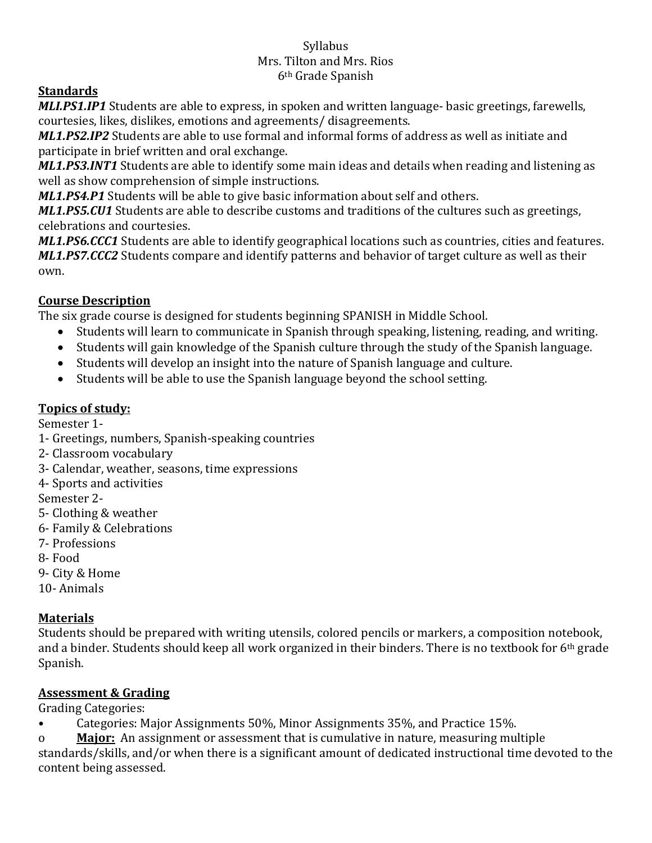#### Syllabus Mrs. Tilton and Mrs. Rios 6th Grade Spanish

## **Standards**

*MLI.PS1.IP1* Students are able to express, in spoken and written language- basic greetings, farewells, courtesies, likes, dislikes, emotions and agreements/ disagreements.

*ML1.PS2.IP2* Students are able to use formal and informal forms of address as well as initiate and participate in brief written and oral exchange.

*ML1.PS3.INT1* Students are able to identify some main ideas and details when reading and listening as well as show comprehension of simple instructions.

*ML1.PS4.P1* Students will be able to give basic information about self and others.

*ML1.PS5.CU1* Students are able to describe customs and traditions of the cultures such as greetings, celebrations and courtesies.

*ML1.PS6.CCC1* Students are able to identify geographical locations such as countries, cities and features. *ML1.PS7.CCC2* Students compare and identify patterns and behavior of target culture as well as their own.

## **Course Description**

The six grade course is designed for students beginning SPANISH in Middle School.

- Students will learn to communicate in Spanish through speaking, listening, reading, and writing.
- Students will gain knowledge of the Spanish culture through the study of the Spanish language.
- Students will develop an insight into the nature of Spanish language and culture.
- Students will be able to use the Spanish language beyond the school setting.

## **Topics of study:**

Semester 1-

- 1- Greetings, numbers, Spanish-speaking countries
- 2- Classroom vocabulary
- 3- Calendar, weather, seasons, time expressions
- 4- Sports and activities

Semester 2-

- 5- Clothing & weather
- 6- Family & Celebrations
- 7- Professions
- 8- Food
- 9- City & Home
- 10- Animals

## **Materials**

Students should be prepared with writing utensils, colored pencils or markers, a composition notebook, and a binder. Students should keep all work organized in their binders. There is no textbook for 6th grade Spanish.

## **Assessment & Grading**

Grading Categories:

- Categories: Major Assignments 50%, Minor Assignments 35%, and Practice 15%.
- o **Major:** An assignment or assessment that is cumulative in nature, measuring multiple

standards/skills, and/or when there is a significant amount of dedicated instructional time devoted to the content being assessed.